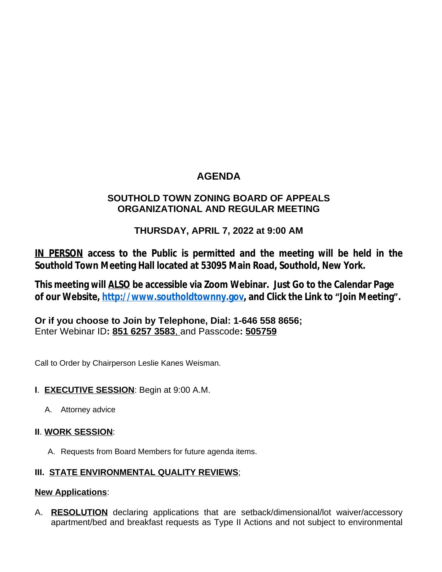# **AGENDA**

## **SOUTHOLD TOWN ZONING BOARD OF APPEALS ORGANIZATIONAL AND REGULAR MEETING**

## **THURSDAY, APRIL 7, 2022 at 9:00 AM**

**IN PERSON access to the Public is permitted and the meeting will be held in the Southold Town Meeting Hall located at 53095 Main Road, Southold, New York.**

**This meeting will ALSO be accessible via Zoom Webinar. Just Go to the Calendar Page of our Website, [http://www.southoldtownny.gov,](http://www.southoldtownny.gov) and Click the Link to "Join Meeting".**

**Or if you choose to Join by Telephone, Dial: 1-646 558 8656;** Enter Webinar ID**: 851 6257 3583**, and Passcode**: 505759**

Call to Order by Chairperson Leslie Kanes Weisman.

### **I**. **EXECUTIVE SESSION**: Begin at 9:00 A.M.

A. Attorney advice

### **II**. **WORK SESSION**:

A. Requests from Board Members for future agenda items.

### **III. STATE ENVIRONMENTAL QUALITY REVIEWS**;

#### **New Applications**:

A. **RESOLUTION** declaring applications that are setback/dimensional/lot waiver/accessory apartment/bed and breakfast requests as Type II Actions and not subject to environmental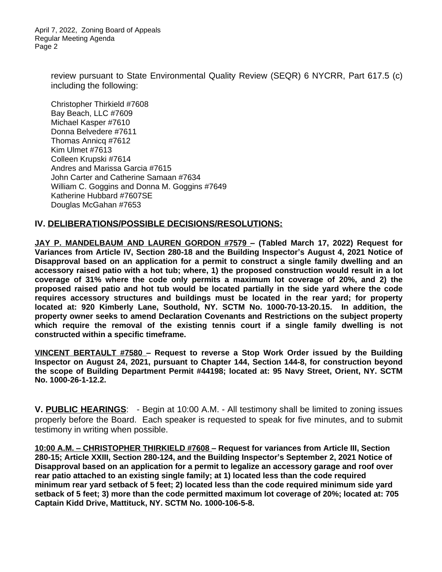April 7, 2022, Zoning Board of Appeals Regular Meeting Agenda Page 2

> review pursuant to State Environmental Quality Review (SEQR) 6 NYCRR, Part 617.5 (c) including the following:

Christopher Thirkield #7608 Bay Beach, LLC #7609 Michael Kasper #7610 Donna Belvedere #7611 Thomas Annicq #7612 Kim Ulmet #7613 Colleen Krupski #7614 Andres and Marissa Garcia #7615 John Carter and Catherine Samaan #7634 William C. Goggins and Donna M. Goggins #7649 Katherine Hubbard #7607SE Douglas McGahan #7653

#### **IV. DELIBERATIONS/POSSIBLE DECISIONS/RESOLUTIONS:**

**JAY P. MANDELBAUM AND LAUREN GORDON #7579 – (Tabled March 17, 2022) Request for Variances from Article IV, Section 280-18 and the Building Inspector's August 4, 2021 Notice of Disapproval based on an application for a permit to construct a single family dwelling and an accessory raised patio with a hot tub; where, 1) the proposed construction would result in a lot coverage of 31% where the code only permits a maximum lot coverage of 20%, and 2) the proposed raised patio and hot tub would be located partially in the side yard where the code requires accessory structures and buildings must be located in the rear yard; for property located at: 920 Kimberly Lane, Southold, NY. SCTM No. 1000-70-13-20.15. In addition, the property owner seeks to amend Declaration Covenants and Restrictions on the subject property which require the removal of the existing tennis court if a single family dwelling is not constructed within a specific timeframe.** 

**VINCENT BERTAULT #7580 – Request to reverse a Stop Work Order issued by the Building Inspector on August 24, 2021, pursuant to Chapter 144, Section 144-8, for construction beyond the scope of Building Department Permit #44198; located at: 95 Navy Street, Orient, NY. SCTM No. 1000-26-1-12.2.**

**V. PUBLIC HEARINGS**: - Begin at 10:00 A.M. - All testimony shall be limited to zoning issues properly before the Board. Each speaker is requested to speak for five minutes, and to submit testimony in writing when possible.

**10:00 A.M. – CHRISTOPHER THIRKIELD #7608 – Request for variances from Article III, Section 280-15; Article XXIII, Section 280-124, and the Building Inspector's September 2, 2021 Notice of Disapproval based on an application for a permit to legalize an accessory garage and roof over rear patio attached to an existing single family; at 1) located less than the code required minimum rear yard setback of 5 feet; 2) located less than the code required minimum side yard setback of 5 feet; 3) more than the code permitted maximum lot coverage of 20%; located at: 705 Captain Kidd Drive, Mattituck, NY. SCTM No. 1000-106-5-8.**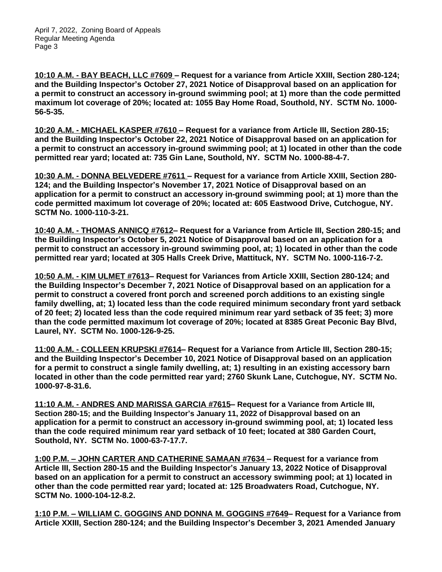**10:10 A.M. - BAY BEACH, LLC #7609 – Request for a variance from Article XXIII, Section 280-124; and the Building Inspector's October 27, 2021 Notice of Disapproval based on an application for a permit to construct an accessory in-ground swimming pool; at 1) more than the code permitted maximum lot coverage of 20%; located at: 1055 Bay Home Road, Southold, NY. SCTM No. 1000- 56-5-35.** 

**10:20 A.M. - MICHAEL KASPER #7610 – Request for a variance from Article III, Section 280-15; and the Building Inspector's October 22, 2021 Notice of Disapproval based on an application for a permit to construct an accessory in-ground swimming pool; at 1) located in other than the code permitted rear yard; located at: 735 Gin Lane, Southold, NY. SCTM No. 1000-88-4-7.** 

**10:30 A.M. - DONNA BELVEDERE #7611 – Request for a variance from Article XXIII, Section 280- 124; and the Building Inspector's November 17, 2021 Notice of Disapproval based on an application for a permit to construct an accessory in-ground swimming pool; at 1) more than the code permitted maximum lot coverage of 20%; located at: 605 Eastwood Drive, Cutchogue, NY. SCTM No. 1000-110-3-21.** 

**10:40 A.M. - THOMAS ANNICQ #7612– Request for a Variance from Article III, Section 280-15; and the Building Inspector's October 5, 2021 Notice of Disapproval based on an application for a permit to construct an accessory in-ground swimming pool, at; 1) located in other than the code permitted rear yard; located at 305 Halls Creek Drive, Mattituck, NY. SCTM No. 1000-116-7-2.**

**10:50 A.M. - KIM ULMET #7613– Request for Variances from Article XXIII, Section 280-124; and the Building Inspector's December 7, 2021 Notice of Disapproval based on an application for a permit to construct a covered front porch and screened porch additions to an existing single family dwelling, at; 1) located less than the code required minimum secondary front yard setback of 20 feet; 2) located less than the code required minimum rear yard setback of 35 feet; 3) more than the code permitted maximum lot coverage of 20%; located at 8385 Great Peconic Bay Blvd, Laurel, NY. SCTM No. 1000-126-9-25.**

**11:00 A.M. - COLLEEN KRUPSKI #7614– Request for a Variance from Article III, Section 280-15; and the Building Inspector's December 10, 2021 Notice of Disapproval based on an application for a permit to construct a single family dwelling, at; 1) resulting in an existing accessory barn located in other than the code permitted rear yard; 2760 Skunk Lane, Cutchogue, NY. SCTM No. 1000-97-8-31.6.**

**11:10 A.M. - ANDRES AND MARISSA GARCIA #7615– Request for a Variance from Article III, Section 280-15; and the Building Inspector's January 11, 2022 of Disapproval based on an application for a permit to construct an accessory in-ground swimming pool, at; 1) located less than the code required minimum rear yard setback of 10 feet; located at 380 Garden Court, Southold, NY. SCTM No. 1000-63-7-17.7.**

**1:00 P.M. – JOHN CARTER AND CATHERINE SAMAAN #7634 – Request for a variance from Article III, Section 280-15 and the Building Inspector's January 13, 2022 Notice of Disapproval based on an application for a permit to construct an accessory swimming pool; at 1) located in other than the code permitted rear yard; located at: 125 Broadwaters Road, Cutchogue, NY. SCTM No. 1000-104-12-8.2.** 

**1:10 P.M. – WILLIAM C. GOGGINS AND DONNA M. GOGGINS #7649– Request for a Variance from Article XXIII, Section 280-124; and the Building Inspector's December 3, 2021 Amended January**